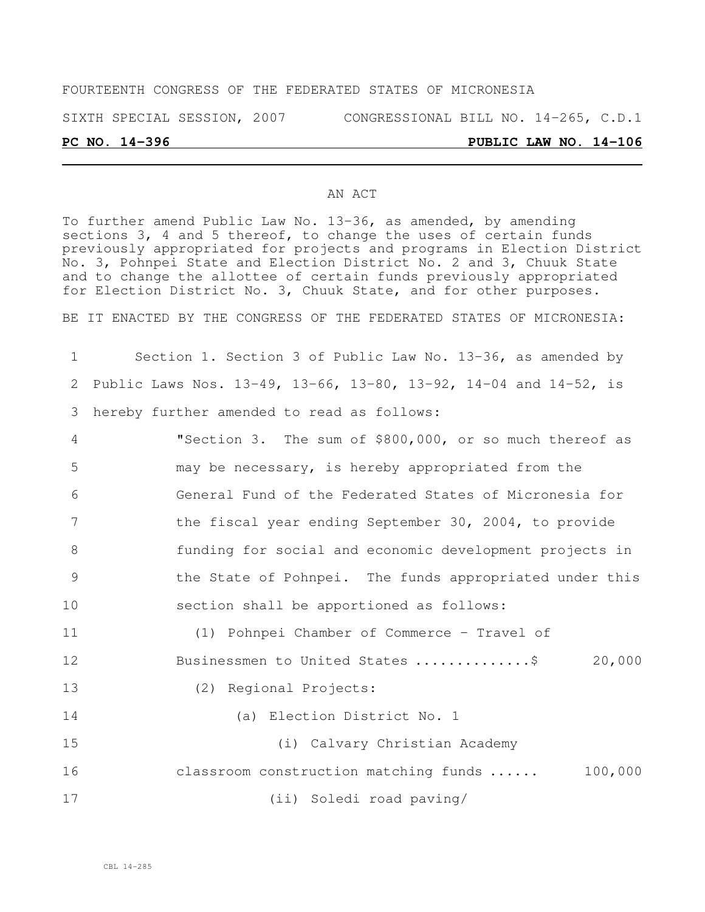### FOURTEENTH CONGRESS OF THE FEDERATED STATES OF MICRONESIA

SIXTH SPECIAL SESSION, 2007 CONGRESSIONAL BILL NO. 14-265, C.D.1

### **PC NO. 14-396 PUBLIC LAW NO. 14-106**

### AN ACT

To further amend Public Law No. 13-36, as amended, by amending sections 3, 4 and 5 thereof, to change the uses of certain funds previously appropriated for projects and programs in Election District No. 3, Pohnpei State and Election District No. 2 and 3, Chuuk State and to change the allottee of certain funds previously appropriated for Election District No. 3, Chuuk State, and for other purposes.

BE IT ENACTED BY THE CONGRESS OF THE FEDERATED STATES OF MICRONESIA:

1 Section 1. Section 3 of Public Law No. 13-36, as amended by 2 Public Laws Nos. 13-49, 13-66, 13-80, 13-92, 14-04 and 14-52, is 3 hereby further amended to read as follows:

 "Section 3. The sum of \$800,000, or so much thereof as may be necessary, is hereby appropriated from the General Fund of the Federated States of Micronesia for the fiscal year ending September 30, 2004, to provide funding for social and economic development projects in the State of Pohnpei. The funds appropriated under this section shall be apportioned as follows: (1) Pohnpei Chamber of Commerce – Travel of 12 Businessmen to United States .................\$ 20,000 (2) Regional Projects: (a) Election District No. 1

15 (i) Calvary Christian Academy 16 classroom construction matching funds ...... 100,000 17 (ii) Soledi road paving/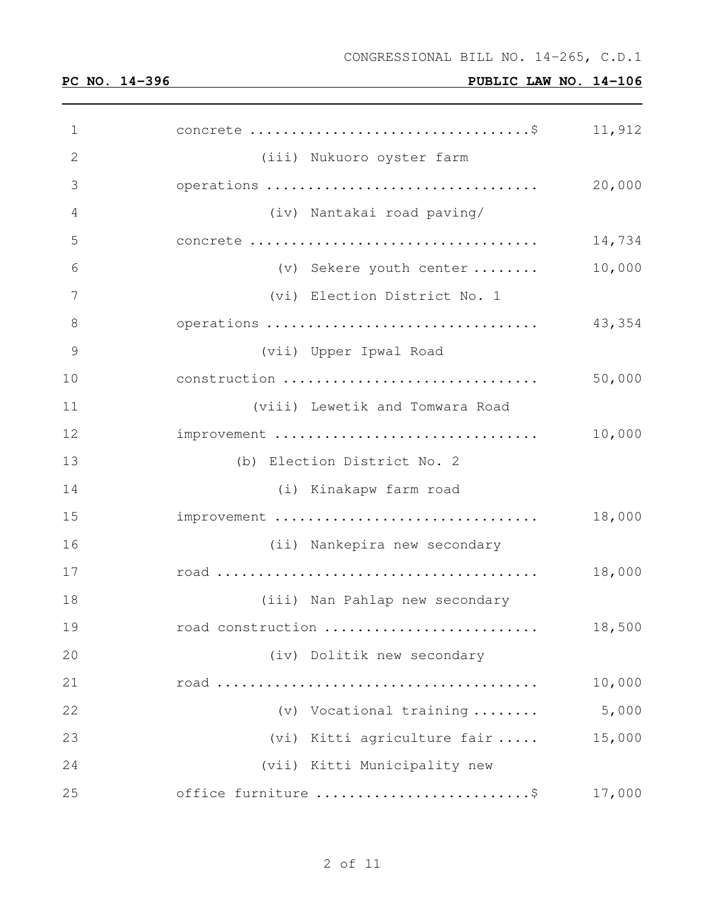| $\mathbf 1$  |                                 | 11,912 |
|--------------|---------------------------------|--------|
| $\mathbf{2}$ | (iii) Nukuoro oyster farm       |        |
| 3            | operations                      | 20,000 |
| 4            | (iv) Nantakai road paving/      |        |
| 5            |                                 | 14,734 |
| 6            | (v) Sekere youth center         | 10,000 |
| 7            | (vi) Election District No. 1    |        |
| 8            | operations                      | 43,354 |
| 9            | (vii) Upper Ipwal Road          |        |
| 10           | construction                    | 50,000 |
| 11           | (viii) Lewetik and Tomwara Road |        |
| 12           | improvement                     | 10,000 |
| 13           | (b) Election District No. 2     |        |
| 14           | (i) Kinakapw farm road          |        |
| 15           | improvement                     | 18,000 |
| 16           | (ii) Nankepira new secondary    |        |
| 17           |                                 | 18,000 |
| 18           | (iii) Nan Pahlap new secondary  |        |
| 19           | road construction               | 18,500 |
| 20           | (iv) Dolitik new secondary      |        |
| 21           |                                 | 10,000 |
| 22           | (v) Vocational training         | 5,000  |
| 23           | (vi) Kitti agriculture fair     | 15,000 |
| 24           | (vii) Kitti Municipality new    |        |
| 25           | office furniture \$             | 17,000 |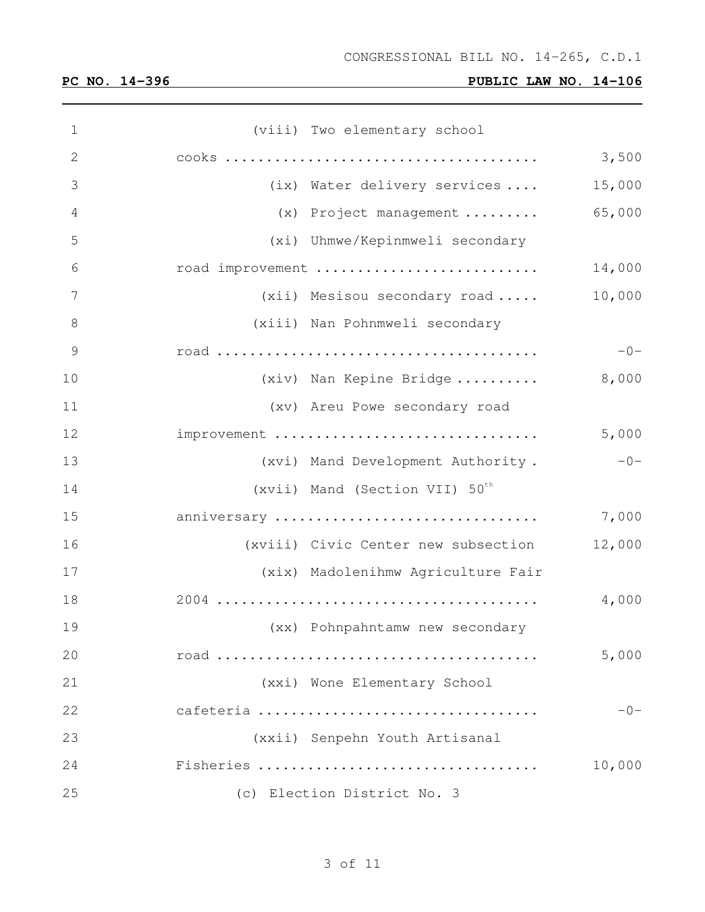| $\mathbf 1$   | (viii) Two elementary school               |        |
|---------------|--------------------------------------------|--------|
| 2             |                                            | 3,500  |
| 3             | (ix) Water delivery services               | 15,000 |
| 4             | (x) Project management                     | 65,000 |
| 5             | (xi) Uhmwe/Kepinmweli secondary            |        |
| 6             | road improvement                           | 14,000 |
| 7             | (xii) Mesisou secondary road               | 10,000 |
| $8\,$         | (xiii) Nan Pohnmweli secondary             |        |
| $\mathcal{G}$ |                                            | $-0-$  |
| 10            | (xiv) Nan Kepine Bridge                    | 8,000  |
| 11            | (xv) Areu Powe secondary road              |        |
| 12            | improvement                                | 5,000  |
| 13            | (xvi) Mand Development Authority.          | $-0-$  |
| 14            | (xvii) Mand (Section VII) 50 <sup>th</sup> |        |
| 15            | anniversary                                | 7,000  |
| 16            | (xviii) Civic Center new subsection        | 12,000 |
| 17            | (xix) Madolenihmw Agriculture Fair         |        |
| 18            |                                            | 4,000  |
| 19            | (xx) Pohnpahntamw new secondary            |        |
| 20            |                                            | 5,000  |
| 21            | (xxi) Wone Elementary School               |        |
| 22            | cafeteria                                  | $-0-$  |
| 23            | (xxii) Senpehn Youth Artisanal             |        |
| 24            | Fisheries                                  | 10,000 |
| 25            | (c) Election District No. 3                |        |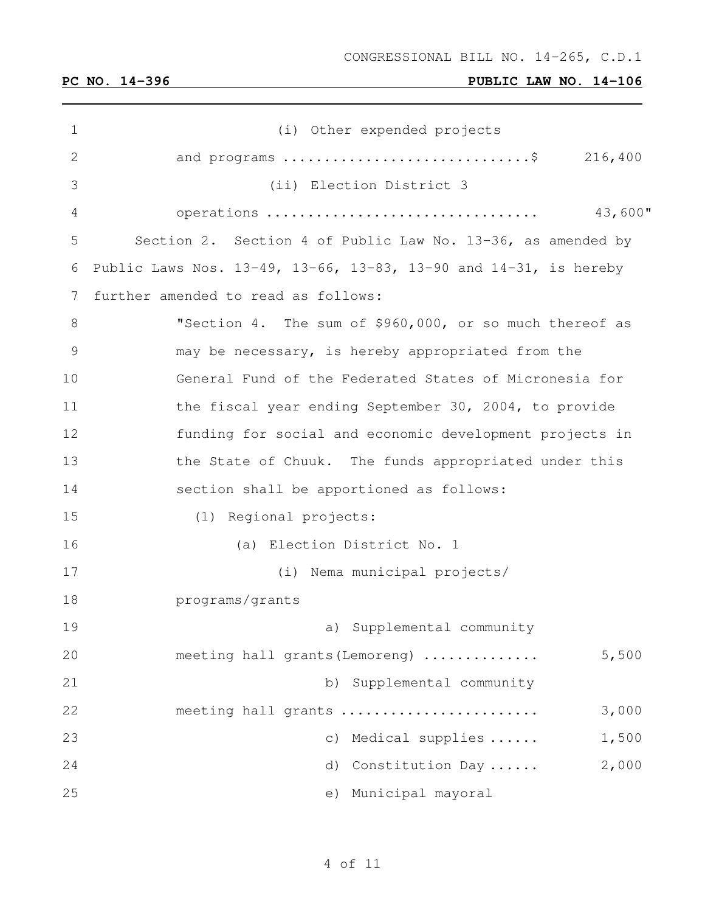| 1  | (i) Other expended projects                                                        |
|----|------------------------------------------------------------------------------------|
| 2  | and programs $\ldots \ldots \ldots \ldots \ldots \ldots \ldots \ldots$ . \$216,400 |
| 3  | (ii) Election District 3                                                           |
| 4  | 43,600"<br>operations                                                              |
| 5  | Section 2. Section 4 of Public Law No. 13-36, as amended by                        |
| 6  | Public Laws Nos. 13-49, 13-66, 13-83, 13-90 and 14-31, is hereby                   |
| 7  | further amended to read as follows:                                                |
| 8  | "Section 4. The sum of \$960,000, or so much thereof as                            |
| 9  | may be necessary, is hereby appropriated from the                                  |
| 10 | General Fund of the Federated States of Micronesia for                             |
| 11 | the fiscal year ending September 30, 2004, to provide                              |
| 12 | funding for social and economic development projects in                            |
| 13 | the State of Chuuk. The funds appropriated under this                              |
| 14 | section shall be apportioned as follows:                                           |
| 15 | (1) Regional projects:                                                             |
| 16 | (a) Election District No. 1                                                        |
| 17 | (i) Nema municipal projects/                                                       |
| 18 | programs/grants                                                                    |
| 19 | a) Supplemental community                                                          |
| 20 | meeting hall grants (Lemoreng)<br>5,500                                            |
| 21 | b) Supplemental community                                                          |
| 22 | 3,000<br>meeting hall grants                                                       |
| 23 | Medical supplies<br>1,500<br>$\circ$ )                                             |
| 24 | 2,000<br>Constitution Day<br>d)                                                    |
| 25 | Municipal mayoral<br>e)                                                            |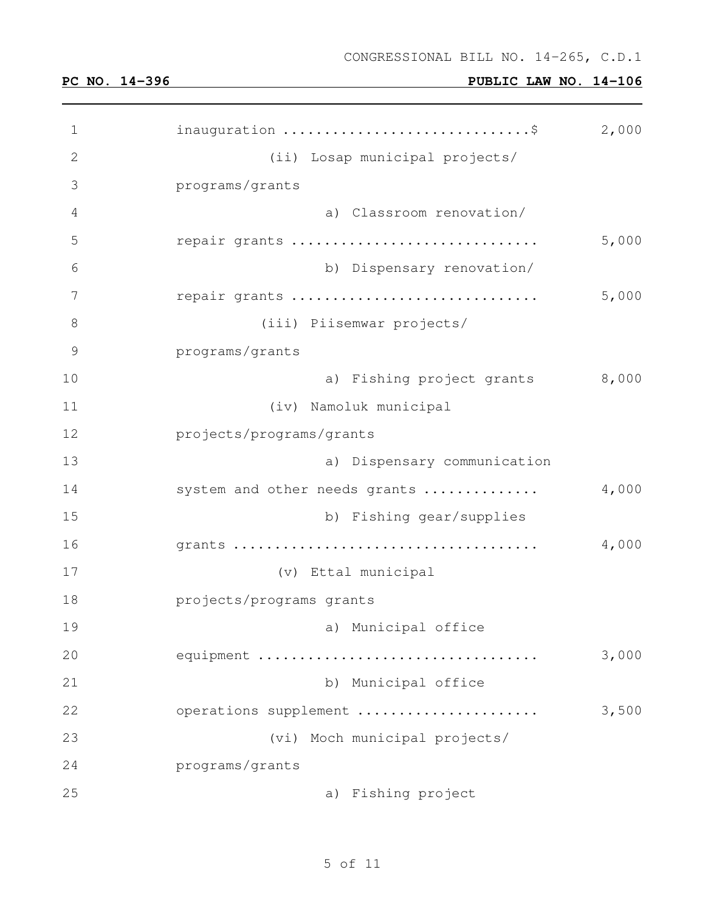| $\mathbf 1$  | inauguration \$                | 2,000 |
|--------------|--------------------------------|-------|
| $\mathbf{2}$ | (ii) Losap municipal projects/ |       |
| 3            | programs/grants                |       |
| 4            | a) Classroom renovation/       |       |
| 5            | repair grants                  | 5,000 |
| 6            | b) Dispensary renovation/      |       |
| 7            | repair grants                  | 5,000 |
| 8            | (iii) Piisemwar projects/      |       |
| 9            | programs/grants                |       |
| 10           | a) Fishing project grants      | 8,000 |
| 11           | (iv) Namoluk municipal         |       |
| 12           | projects/programs/grants       |       |
| 13           | a) Dispensary communication    |       |
| 14           | system and other needs grants  | 4,000 |
| 15           | b) Fishing gear/supplies       |       |
| 16           |                                | 4,000 |
| 17           | (v) Ettal municipal            |       |
| 18           | projects/programs grants       |       |
| 19           | a) Municipal office            |       |
| 20           | equipment                      | 3,000 |
| 21           | b) Municipal office            |       |
| 22           | operations supplement          | 3,500 |
| 23           | (vi) Moch municipal projects/  |       |
| 24           | programs/grants                |       |
| 25           | a) Fishing project             |       |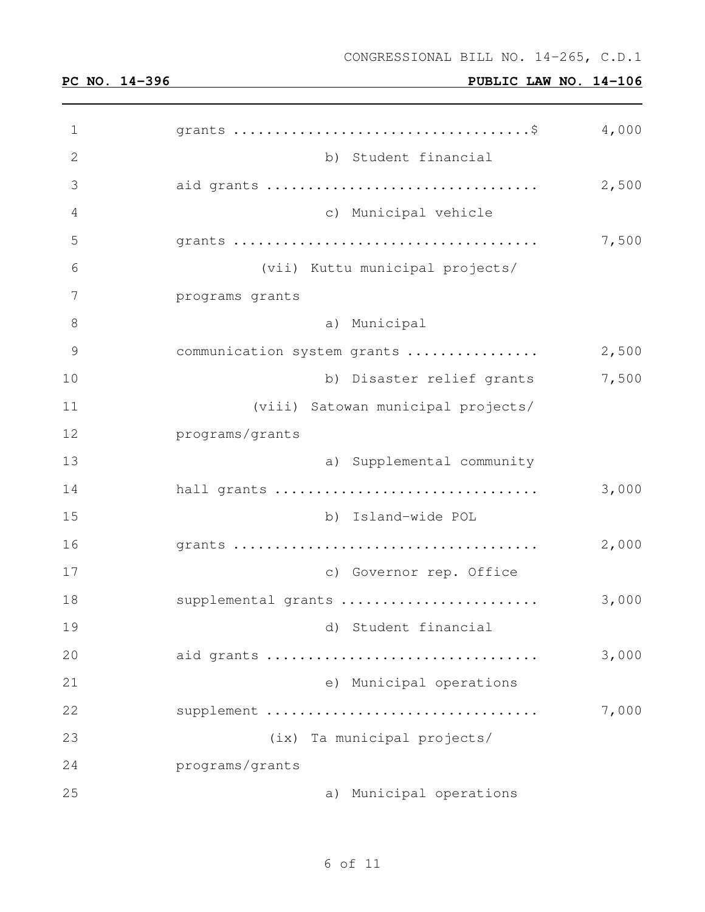| 1             |                                    | 4,000 |
|---------------|------------------------------------|-------|
| 2             | b) Student financial               |       |
| 3             | aid grants                         | 2,500 |
| 4             | c) Municipal vehicle               |       |
| 5             |                                    | 7,500 |
| 6             | (vii) Kuttu municipal projects/    |       |
| 7             | programs grants                    |       |
| 8             | a) Municipal                       |       |
| $\mathcal{G}$ | communication system grants        | 2,500 |
| 10            | b) Disaster relief grants          | 7,500 |
| 11            | (viii) Satowan municipal projects/ |       |
| 12            | programs/grants                    |       |
| 13            | a) Supplemental community          |       |
| 14            | hall grants                        | 3,000 |
| 15            | b) Island-wide POL                 |       |
| 16            |                                    | 2,000 |
| 17            | c) Governor rep. Office            |       |
| 18            | supplemental grants                | 3,000 |
| 19            | d) Student financial               |       |
| 20            | aid grants                         | 3,000 |
| 21            | e) Municipal operations            |       |
| 22            | supplement                         | 7,000 |
| 23            | (ix) Ta municipal projects/        |       |
| 24            | programs/grants                    |       |
| 25            | a) Municipal operations            |       |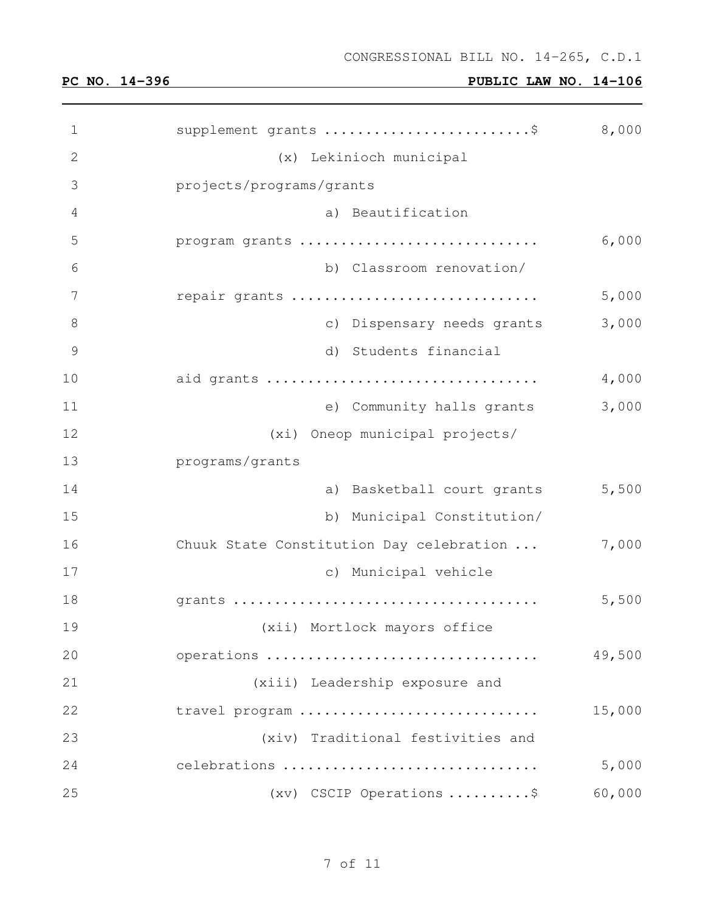| 1  | supplement grants \$                     | 8,000  |
|----|------------------------------------------|--------|
| 2  | (x) Lekinioch municipal                  |        |
| 3  | projects/programs/grants                 |        |
| 4  | a) Beautification                        |        |
| 5  | program grants                           | 6,000  |
| 6  | b) Classroom renovation/                 |        |
| 7  | repair grants                            | 5,000  |
| 8  | c) Dispensary needs grants               | 3,000  |
| 9  | d) Students financial                    |        |
| 10 | aid grants                               | 4,000  |
| 11 | e) Community halls grants                | 3,000  |
| 12 | (xi) Oneop municipal projects/           |        |
| 13 | programs/grants                          |        |
| 14 | a) Basketball court grants               | 5,500  |
| 15 | b) Municipal Constitution/               |        |
| 16 | Chuuk State Constitution Day celebration | 7,000  |
| 17 | c) Municipal vehicle                     |        |
| 18 |                                          | 5,500  |
| 19 | (xii) Mortlock mayors office             |        |
| 20 | operations                               | 49,500 |
| 21 | (xiii) Leadership exposure and           |        |
| 22 | travel program                           | 15,000 |
| 23 | (xiv) Traditional festivities and        |        |
| 24 | celebrations                             | 5,000  |
| 25 | $(xv)$ CSCIP Operations \$               | 60,000 |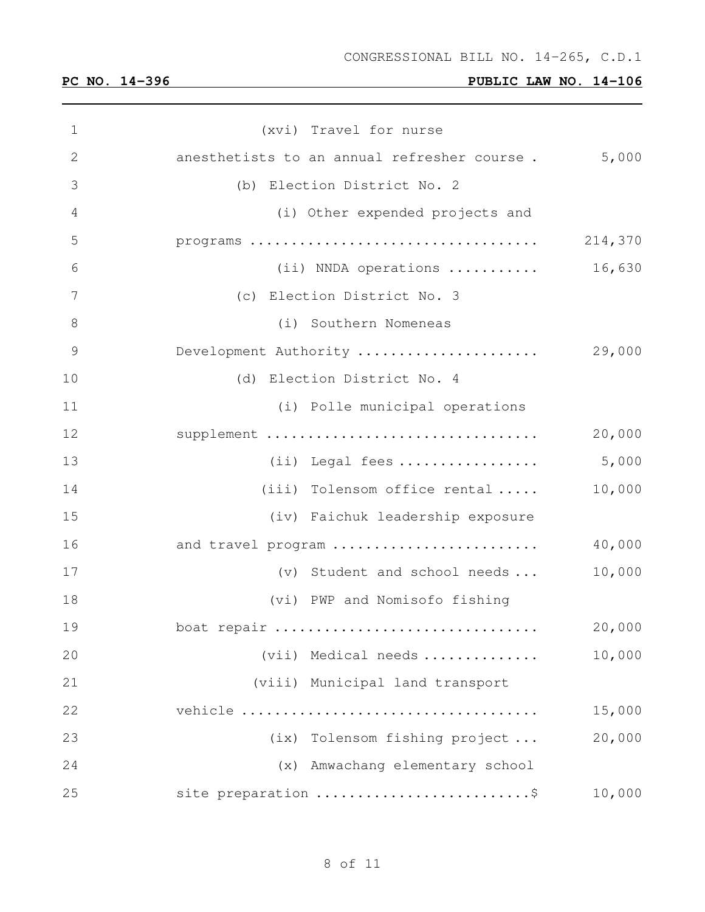| 1            | (xvi) Travel for nurse                      |         |
|--------------|---------------------------------------------|---------|
| $\mathbf{2}$ | anesthetists to an annual refresher course. | 5,000   |
| 3            | (b) Election District No. 2                 |         |
| 4            | (i) Other expended projects and             |         |
| 5            |                                             | 214,370 |
| 6            | (ii) NNDA operations                        | 16,630  |
| 7            | (c) Election District No. 3                 |         |
| $\,8\,$      | (i) Southern Nomeneas                       |         |
| 9            | Development Authority                       | 29,000  |
| 10           | (d) Election District No. 4                 |         |
| 11           | (i) Polle municipal operations              |         |
| 12           | supplement                                  | 20,000  |
| 13           | $(i)$ Legal fees                            | 5,000   |
| 14           | (iii) Tolensom office rental $\ldots$ .     | 10,000  |
| 15           | (iv) Faichuk leadership exposure            |         |
| 16           | and travel program                          | 40,000  |
| 17           | (v) Student and school needs                | 10,000  |
| 18           | (vi) PWP and Nomisofo fishing               |         |
| 19           | boat repair                                 | 20,000  |
| 20           | (vii) Medical needs                         | 10,000  |
| 21           | (viii) Municipal land transport             |         |
| 22           |                                             | 15,000  |
| 23           | (ix) Tolensom fishing project               | 20,000  |
| 24           | (x) Amwachang elementary school             |         |
| 25           | site preparation \$                         | 10,000  |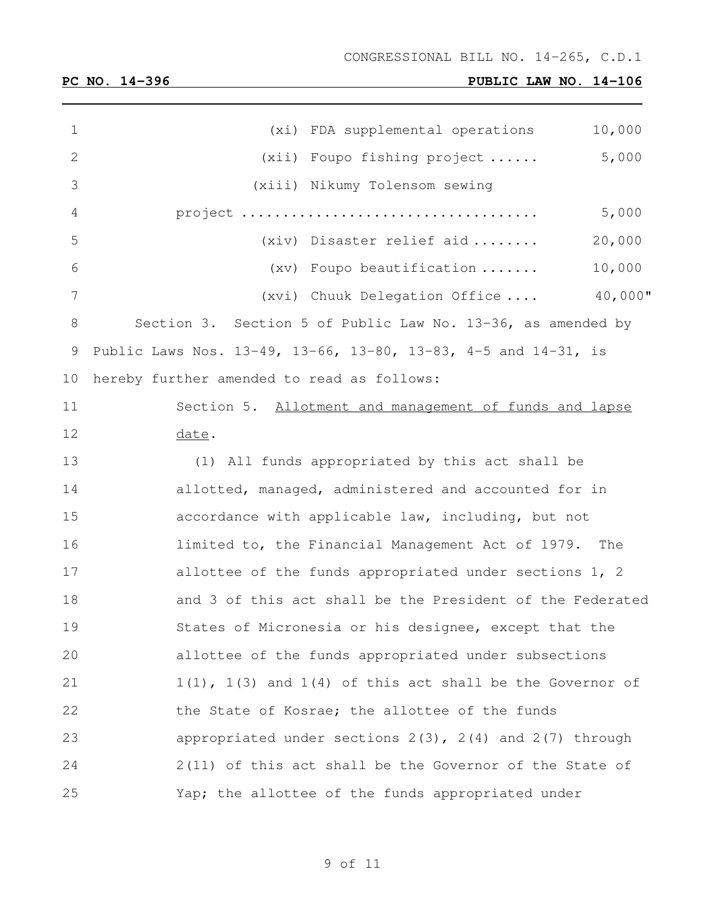and the control of the control of the

| $\mathbf 1$    | 10,000<br>(xi) FDA supplemental operations                      |
|----------------|-----------------------------------------------------------------|
| $\mathbf{2}$   | 5,000<br>(xii) Foupo fishing project                            |
| 3              | (xiii) Nikumy Tolensom sewing                                   |
| 4              | 5,000                                                           |
| 5              | (xiv) Disaster relief aid<br>20,000                             |
| 6              | 10,000<br>(xv) Foupo beautification                             |
| $\overline{7}$ | $40,000$ "<br>(xvi) Chuuk Delegation Office                     |
| $8\,$          | Section 3. Section 5 of Public Law No. 13-36, as amended by     |
| 9              | Public Laws Nos. 13-49, 13-66, 13-80, 13-83, 4-5 and 14-31, is  |
| 10             | hereby further amended to read as follows:                      |
| 11             | Section 5. Allotment and management of funds and lapse          |
| 12             | date.                                                           |
| 13             | (1) All funds appropriated by this act shall be                 |
| 14             | allotted, managed, administered and accounted for in            |
| 15             | accordance with applicable law, including, but not              |
| 16             | limited to, the Financial Management Act of 1979. The           |
| 17             | allottee of the funds appropriated under sections 1, 2          |
| 18             | and 3 of this act shall be the President of the Federated       |
| 19             | States of Micronesia or his designee, except that the           |
| 20             | allottee of the funds appropriated under subsections            |
| 21             | $1(1)$ , $1(3)$ and $1(4)$ of this act shall be the Governor of |
| 22             | the State of Kosrae; the allottee of the funds                  |
| 23             | appropriated under sections $2(3)$ , $2(4)$ and $2(7)$ through  |
| 24             | 2(11) of this act shall be the Governor of the State of         |
| 25             | Yap; the allottee of the funds appropriated under               |

of 11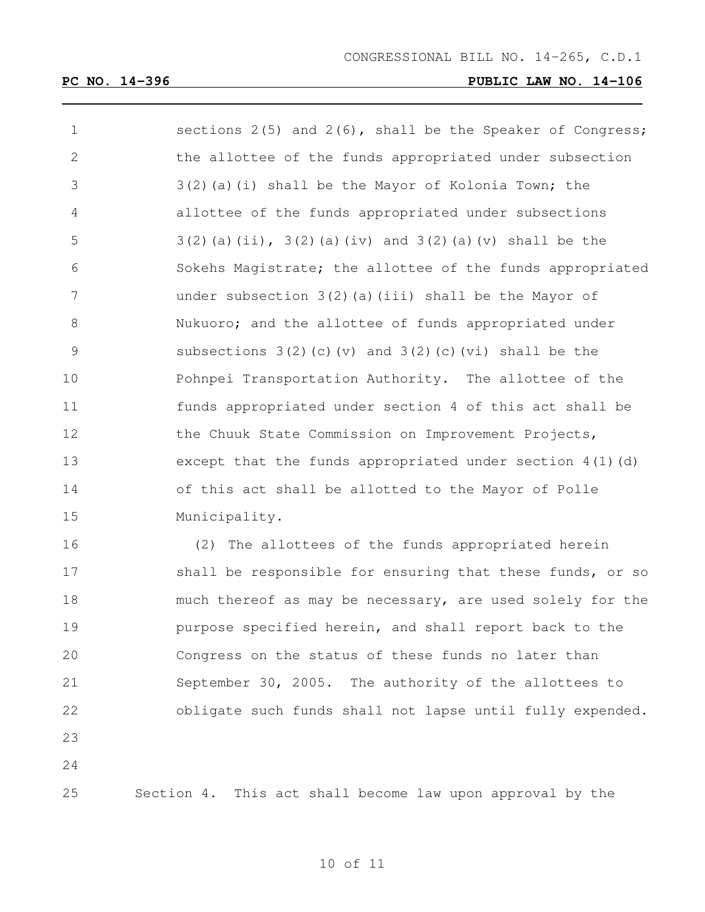| $\mathbf 1$ | sections $2(5)$ and $2(6)$ , shall be the Speaker of Congress;   |
|-------------|------------------------------------------------------------------|
| 2           | the allottee of the funds appropriated under subsection          |
| 3           | 3(2)(a)(i) shall be the Mayor of Kolonia Town; the               |
| 4           | allottee of the funds appropriated under subsections             |
| 5           | $3(2)$ (a) (ii), $3(2)$ (a) (iv) and $3(2)$ (a) (v) shall be the |
| 6           | Sokehs Magistrate; the allottee of the funds appropriated        |
| 7           | under subsection 3(2)(a)(iii) shall be the Mayor of              |
| 8           | Nukuoro; and the allottee of funds appropriated under            |
| 9           | subsections $3(2)$ (c) (v) and $3(2)$ (c) (vi) shall be the      |
| 10          | Pohnpei Transportation Authority. The allottee of the            |
| 11          | funds appropriated under section 4 of this act shall be          |
| 12          | the Chuuk State Commission on Improvement Projects,              |
| 13          | except that the funds appropriated under section $4(1)(d)$       |
| 14          | of this act shall be allotted to the Mayor of Polle              |
| 15          | Municipality.                                                    |
| 16          | (2) The allottees of the funds appropriated herein               |
| 17          | shall be responsible for ensuring that these funds, or so        |
| 18          | much thereof as may be necessary, are used solely for the        |

 purpose specified herein, and shall report back to the Congress on the status of these funds no later than September 30, 2005. The authority of the allottees to obligate such funds shall not lapse until fully expended.

Section 4. This act shall become law upon approval by the

of 11